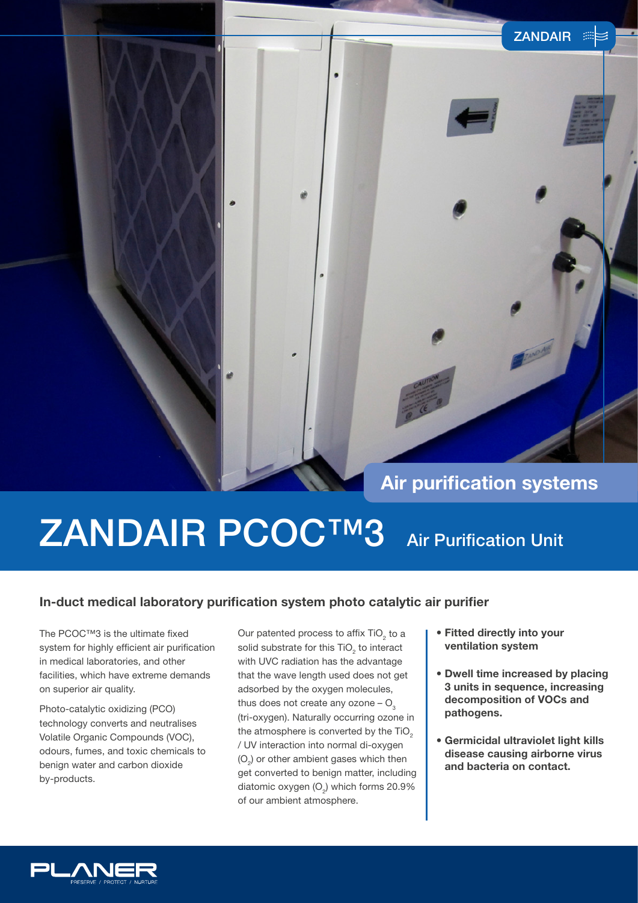### **Air purification systems**

ZANDAIR **E** 

# ZANDAIR PCOC™3 Air Purification Unit

#### **In-duct medical laboratory purification system photo catalytic air purifier**

The PCOC™3 is the ultimate fixed system for highly efficient air purification in medical laboratories, and other facilities, which have extreme demands on superior air quality.

Photo-catalytic oxidizing (PCO) technology converts and neutralises Volatile Organic Compounds (VOC), odours, fumes, and toxic chemicals to benign water and carbon dioxide by-products.

Our patented process to affix  $TiO<sub>2</sub>$  to a solid substrate for this  $\text{TiO}_2$  to interact with UVC radiation has the advantage that the wave length used does not get adsorbed by the oxygen molecules, thus does not create any ozone  $O<sub>3</sub>$ (tri-oxygen). Naturally occurring ozone in the atmosphere is converted by the TiO<sub>2</sub> / UV interaction into normal di-oxygen  $(O<sub>2</sub>)$  or other ambient gases which then get converted to benign matter, including diatomic oxygen  $(O_2)$  which forms 20.9% of our ambient atmosphere.

- **Fitted directly into your ventilation system**
- **Dwell time increased by placing 3 units in sequence, increasing decomposition of VOCs and pathogens.**
- **Germicidal ultraviolet light kills disease causing airborne virus and bacteria on contact.**